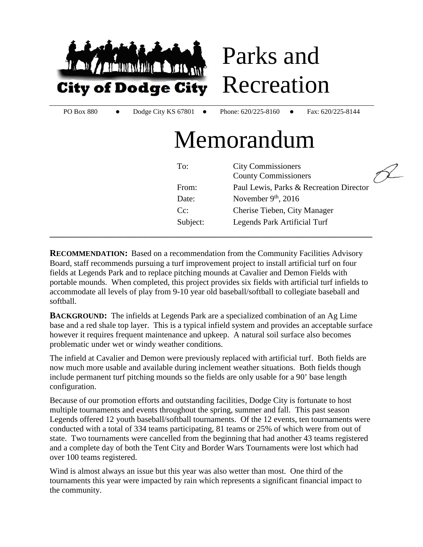

**RECOMMENDATION:** Based on a recommendation from the Community Facilities Advisory Board, staff recommends pursuing a turf improvement project to install artificial turf on four fields at Legends Park and to replace pitching mounds at Cavalier and Demon Fields with portable mounds. When completed, this project provides six fields with artificial turf infields to accommodate all levels of play from 9-10 year old baseball/softball to collegiate baseball and softball.

**BACKGROUND:** The infields at Legends Park are a specialized combination of an Ag Lime base and a red shale top layer. This is a typical infield system and provides an acceptable surface however it requires frequent maintenance and upkeep. A natural soil surface also becomes problematic under wet or windy weather conditions.

The infield at Cavalier and Demon were previously replaced with artificial turf. Both fields are now much more usable and available during inclement weather situations. Both fields though include permanent turf pitching mounds so the fields are only usable for a 90' base length configuration.

Because of our promotion efforts and outstanding facilities, Dodge City is fortunate to host multiple tournaments and events throughout the spring, summer and fall. This past season Legends offered 12 youth baseball/softball tournaments. Of the 12 events, ten tournaments were conducted with a total of 334 teams participating, 81 teams or 25% of which were from out of state. Two tournaments were cancelled from the beginning that had another 43 teams registered and a complete day of both the Tent City and Border Wars Tournaments were lost which had over 100 teams registered.

Wind is almost always an issue but this year was also wetter than most. One third of the tournaments this year were impacted by rain which represents a significant financial impact to the community.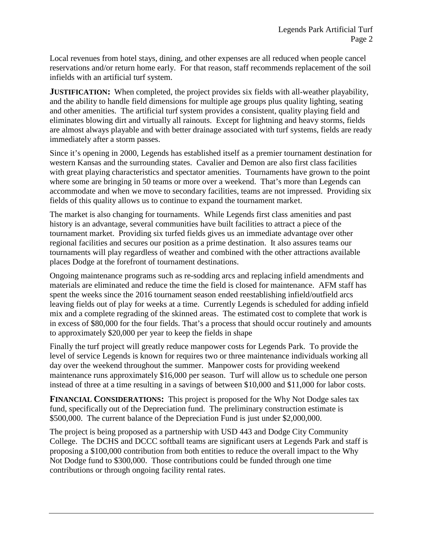Local revenues from hotel stays, dining, and other expenses are all reduced when people cancel reservations and/or return home early. For that reason, staff recommends replacement of the soil infields with an artificial turf system.

**JUSTIFICATION:** When completed, the project provides six fields with all-weather playability, and the ability to handle field dimensions for multiple age groups plus quality lighting, seating and other amenities. The artificial turf system provides a consistent, quality playing field and eliminates blowing dirt and virtually all rainouts. Except for lightning and heavy storms, fields are almost always playable and with better drainage associated with turf systems, fields are ready immediately after a storm passes.

Since it's opening in 2000, Legends has established itself as a premier tournament destination for western Kansas and the surrounding states. Cavalier and Demon are also first class facilities with great playing characteristics and spectator amenities. Tournaments have grown to the point where some are bringing in 50 teams or more over a weekend. That's more than Legends can accommodate and when we move to secondary facilities, teams are not impressed. Providing six fields of this quality allows us to continue to expand the tournament market.

The market is also changing for tournaments. While Legends first class amenities and past history is an advantage, several communities have built facilities to attract a piece of the tournament market. Providing six turfed fields gives us an immediate advantage over other regional facilities and secures our position as a prime destination. It also assures teams our tournaments will play regardless of weather and combined with the other attractions available places Dodge at the forefront of tournament destinations.

Ongoing maintenance programs such as re-sodding arcs and replacing infield amendments and materials are eliminated and reduce the time the field is closed for maintenance. AFM staff has spent the weeks since the 2016 tournament season ended reestablishing infield/outfield arcs leaving fields out of play for weeks at a time. Currently Legends is scheduled for adding infield mix and a complete regrading of the skinned areas. The estimated cost to complete that work is in excess of \$80,000 for the four fields. That's a process that should occur routinely and amounts to approximately \$20,000 per year to keep the fields in shape

Finally the turf project will greatly reduce manpower costs for Legends Park. To provide the level of service Legends is known for requires two or three maintenance individuals working all day over the weekend throughout the summer. Manpower costs for providing weekend maintenance runs approximately \$16,000 per season. Turf will allow us to schedule one person instead of three at a time resulting in a savings of between \$10,000 and \$11,000 for labor costs.

**FINANCIAL CONSIDERATIONS:** This project is proposed for the Why Not Dodge sales tax fund, specifically out of the Depreciation fund. The preliminary construction estimate is \$500,000. The current balance of the Depreciation Fund is just under \$2,000,000.

The project is being proposed as a partnership with USD 443 and Dodge City Community College. The DCHS and DCCC softball teams are significant users at Legends Park and staff is proposing a \$100,000 contribution from both entities to reduce the overall impact to the Why Not Dodge fund to \$300,000. Those contributions could be funded through one time contributions or through ongoing facility rental rates.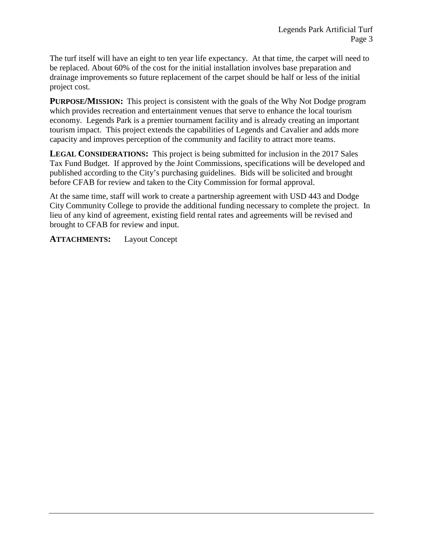The turf itself will have an eight to ten year life expectancy. At that time, the carpet will need to be replaced. About 60% of the cost for the initial installation involves base preparation and drainage improvements so future replacement of the carpet should be half or less of the initial project cost.

**PURPOSE/MISSION:** This project is consistent with the goals of the Why Not Dodge program which provides recreation and entertainment venues that serve to enhance the local tourism economy. Legends Park is a premier tournament facility and is already creating an important tourism impact. This project extends the capabilities of Legends and Cavalier and adds more capacity and improves perception of the community and facility to attract more teams.

**LEGAL CONSIDERATIONS:** This project is being submitted for inclusion in the 2017 Sales Tax Fund Budget. If approved by the Joint Commissions, specifications will be developed and published according to the City's purchasing guidelines. Bids will be solicited and brought before CFAB for review and taken to the City Commission for formal approval.

At the same time, staff will work to create a partnership agreement with USD 443 and Dodge City Community College to provide the additional funding necessary to complete the project. In lieu of any kind of agreement, existing field rental rates and agreements will be revised and brought to CFAB for review and input.

**ATTACHMENTS:** Layout Concept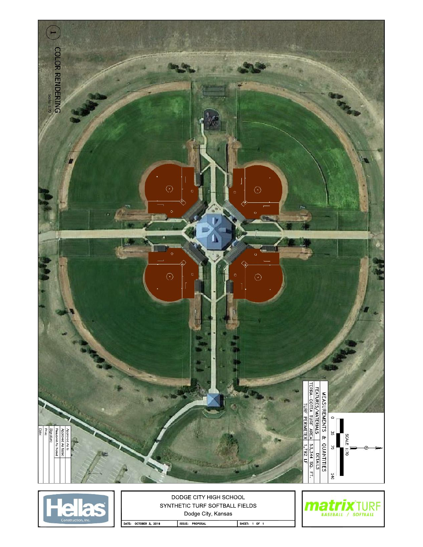

DATE: OCTOBER 3, 2016 ISSUE: PROPOSAL

SHEET: 1 OF 1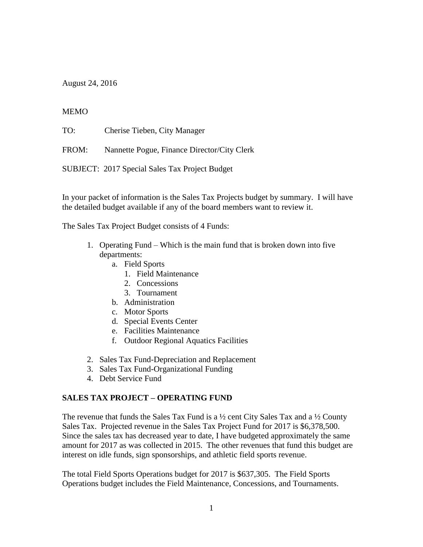August 24, 2016

#### **MEMO**

TO: Cherise Tieben, City Manager

FROM: Nannette Pogue, Finance Director/City Clerk

SUBJECT: 2017 Special Sales Tax Project Budget

In your packet of information is the Sales Tax Projects budget by summary. I will have the detailed budget available if any of the board members want to review it.

The Sales Tax Project Budget consists of 4 Funds:

- 1. Operating Fund Which is the main fund that is broken down into five departments:
	- a. Field Sports
		- 1. Field Maintenance
		- 2. Concessions
		- 3. Tournament
	- b. Administration
	- c. Motor Sports
	- d. Special Events Center
	- e. Facilities Maintenance
	- f. Outdoor Regional Aquatics Facilities
- 2. Sales Tax Fund-Depreciation and Replacement
- 3. Sales Tax Fund-Organizational Funding
- 4. Debt Service Fund

# **SALES TAX PROJECT – OPERATING FUND**

The revenue that funds the Sales Tax Fund is a  $\frac{1}{2}$  cent City Sales Tax and a  $\frac{1}{2}$  County Sales Tax. Projected revenue in the Sales Tax Project Fund for 2017 is \$6,378,500. Since the sales tax has decreased year to date, I have budgeted approximately the same amount for 2017 as was collected in 2015. The other revenues that fund this budget are interest on idle funds, sign sponsorships, and athletic field sports revenue.

The total Field Sports Operations budget for 2017 is \$637,305. The Field Sports Operations budget includes the Field Maintenance, Concessions, and Tournaments.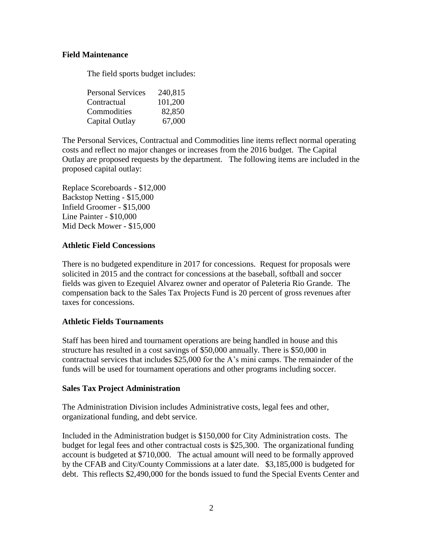#### **Field Maintenance**

The field sports budget includes:

| <b>Personal Services</b> | 240,815 |
|--------------------------|---------|
| Contractual              | 101,200 |
| Commodities              | 82,850  |
| Capital Outlay           | 67,000  |

The Personal Services, Contractual and Commodities line items reflect normal operating costs and reflect no major changes or increases from the 2016 budget. The Capital Outlay are proposed requests by the department. The following items are included in the proposed capital outlay:

Replace Scoreboards - \$12,000 Backstop Netting - \$15,000 Infield Groomer - \$15,000 Line Painter - \$10,000 Mid Deck Mower - \$15,000

#### **Athletic Field Concessions**

There is no budgeted expenditure in 2017 for concessions. Request for proposals were solicited in 2015 and the contract for concessions at the baseball, softball and soccer fields was given to Ezequiel Alvarez owner and operator of Paleteria Rio Grande. The compensation back to the Sales Tax Projects Fund is 20 percent of gross revenues after taxes for concessions.

#### **Athletic Fields Tournaments**

Staff has been hired and tournament operations are being handled in house and this structure has resulted in a cost savings of \$50,000 annually. There is \$50,000 in contractual services that includes \$25,000 for the A's mini camps. The remainder of the funds will be used for tournament operations and other programs including soccer.

#### **Sales Tax Project Administration**

The Administration Division includes Administrative costs, legal fees and other, organizational funding, and debt service.

Included in the Administration budget is \$150,000 for City Administration costs. The budget for legal fees and other contractual costs is \$25,300. The organizational funding account is budgeted at \$710,000. The actual amount will need to be formally approved by the CFAB and City/County Commissions at a later date. \$3,185,000 is budgeted for debt. This reflects \$2,490,000 for the bonds issued to fund the Special Events Center and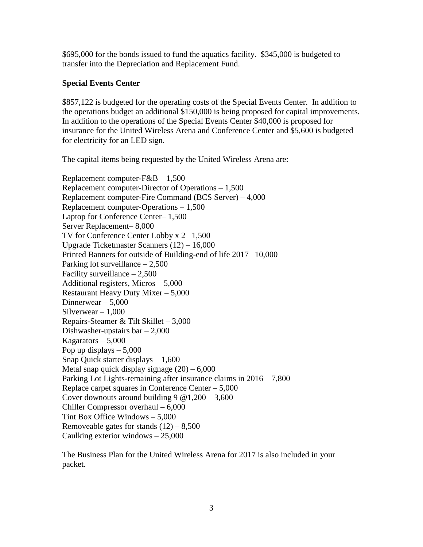\$695,000 for the bonds issued to fund the aquatics facility. \$345,000 is budgeted to transfer into the Depreciation and Replacement Fund.

# **Special Events Center**

\$857,122 is budgeted for the operating costs of the Special Events Center. In addition to the operations budget an additional \$150,000 is being proposed for capital improvements. In addition to the operations of the Special Events Center \$40,000 is proposed for insurance for the United Wireless Arena and Conference Center and \$5,600 is budgeted for electricity for an LED sign.

The capital items being requested by the United Wireless Arena are:

Replacement computer-F&B – 1,500 Replacement computer-Director of Operations – 1,500 Replacement computer-Fire Command (BCS Server) – 4,000 Replacement computer-Operations – 1,500 Laptop for Conference Center– 1,500 Server Replacement– 8,000 TV for Conference Center Lobby x 2– 1,500 Upgrade Ticketmaster Scanners (12) – 16,000 Printed Banners for outside of Building-end of life 2017– 10,000 Parking lot surveillance – 2,500 Facility surveillance  $-2,500$ Additional registers, Micros – 5,000 Restaurant Heavy Duty Mixer – 5,000 Dinnerwear – 5,000 Silverwear  $-1,000$ Repairs-Steamer & Tilt Skillet – 3,000 Dishwasher-upstairs bar  $-2,000$ Kagarators  $-5,000$ Pop up displays  $-5,000$ Snap Quick starter displays – 1,600 Metal snap quick display signage  $(20) - 6,000$ Parking Lot Lights-remaining after insurance claims in 2016 – 7,800 Replace carpet squares in Conference Center – 5,000 Cover downouts around building  $9 \text{ } @ 1,200 - 3,600$ Chiller Compressor overhaul – 6,000 Tint Box Office Windows – 5,000 Removeable gates for stands  $(12) - 8,500$ Caulking exterior windows – 25,000

The Business Plan for the United Wireless Arena for 2017 is also included in your packet.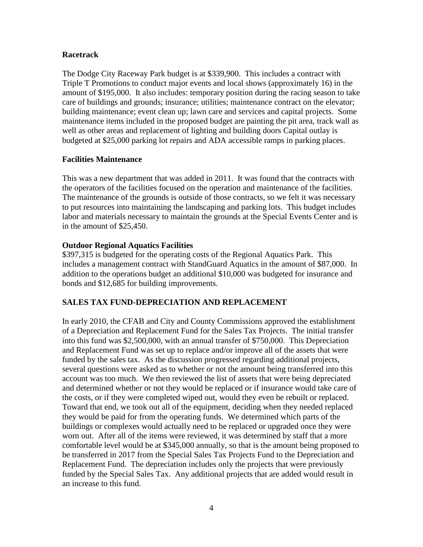#### **Racetrack**

The Dodge City Raceway Park budget is at \$339,900. This includes a contract with Triple T Promotions to conduct major events and local shows (approximately 16) in the amount of \$195,000. It also includes: temporary position during the racing season to take care of buildings and grounds; insurance; utilities; maintenance contract on the elevator; building maintenance; event clean up; lawn care and services and capital projects. Some maintenance items included in the proposed budget are painting the pit area, track wall as well as other areas and replacement of lighting and building doors Capital outlay is budgeted at \$25,000 parking lot repairs and ADA accessible ramps in parking places.

#### **Facilities Maintenance**

This was a new department that was added in 2011. It was found that the contracts with the operators of the facilities focused on the operation and maintenance of the facilities. The maintenance of the grounds is outside of those contracts, so we felt it was necessary to put resources into maintaining the landscaping and parking lots. This budget includes labor and materials necessary to maintain the grounds at the Special Events Center and is in the amount of \$25,450.

#### **Outdoor Regional Aquatics Facilities**

\$397,315 is budgeted for the operating costs of the Regional Aquatics Park. This includes a management contract with StandGuard Aquatics in the amount of \$87,000. In addition to the operations budget an additional \$10,000 was budgeted for insurance and bonds and \$12,685 for building improvements.

# **SALES TAX FUND-DEPRECIATION AND REPLACEMENT**

In early 2010, the CFAB and City and County Commissions approved the establishment of a Depreciation and Replacement Fund for the Sales Tax Projects. The initial transfer into this fund was \$2,500,000, with an annual transfer of \$750,000. This Depreciation and Replacement Fund was set up to replace and/or improve all of the assets that were funded by the sales tax. As the discussion progressed regarding additional projects, several questions were asked as to whether or not the amount being transferred into this account was too much. We then reviewed the list of assets that were being depreciated and determined whether or not they would be replaced or if insurance would take care of the costs, or if they were completed wiped out, would they even be rebuilt or replaced. Toward that end, we took out all of the equipment, deciding when they needed replaced they would be paid for from the operating funds. We determined which parts of the buildings or complexes would actually need to be replaced or upgraded once they were worn out. After all of the items were reviewed, it was determined by staff that a more comfortable level would be at \$345,000 annually, so that is the amount being proposed to be transferred in 2017 from the Special Sales Tax Projects Fund to the Depreciation and Replacement Fund. The depreciation includes only the projects that were previously funded by the Special Sales Tax. Any additional projects that are added would result in an increase to this fund.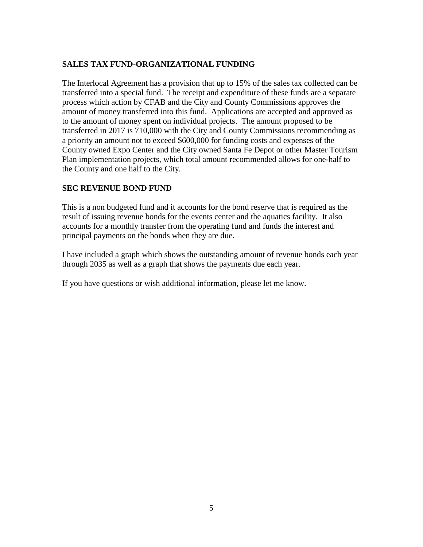# **SALES TAX FUND-ORGANIZATIONAL FUNDING**

The Interlocal Agreement has a provision that up to 15% of the sales tax collected can be transferred into a special fund. The receipt and expenditure of these funds are a separate process which action by CFAB and the City and County Commissions approves the amount of money transferred into this fund. Applications are accepted and approved as to the amount of money spent on individual projects. The amount proposed to be transferred in 2017 is 710,000 with the City and County Commissions recommending as a priority an amount not to exceed \$600,000 for funding costs and expenses of the County owned Expo Center and the City owned Santa Fe Depot or other Master Tourism Plan implementation projects, which total amount recommended allows for one-half to the County and one half to the City.

# **SEC REVENUE BOND FUND**

This is a non budgeted fund and it accounts for the bond reserve that is required as the result of issuing revenue bonds for the events center and the aquatics facility. It also accounts for a monthly transfer from the operating fund and funds the interest and principal payments on the bonds when they are due.

I have included a graph which shows the outstanding amount of revenue bonds each year through 2035 as well as a graph that shows the payments due each year.

If you have questions or wish additional information, please let me know.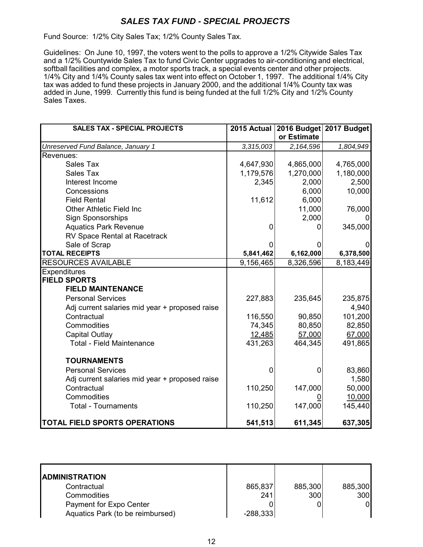# *SALES TAX FUND - SPECIAL PROJECTS*

Fund Source: 1/2% City Sales Tax; 1/2% County Sales Tax.

Guidelines: On June 10, 1997, the voters went to the polls to approve a 1/2% Citywide Sales Tax and a 1/2% Countywide Sales Tax to fund Civic Center upgrades to air-conditioning and electrical, softball facilities and complex, a motor sports track, a special events center and other projects. 1/4% City and 1/4% County sales tax went into effect on October 1, 1997. The additional 1/4% City tax was added to fund these projects in January 2000, and the additional 1/4% County tax was added in June, 1999. Currently this fund is being funded at the full 1/2% City and 1/2% County Sales Taxes.

| <b>SALES TAX - SPECIAL PROJECTS</b>            | 2015 Actual    | 2016 Budget 2017 Budget |           |
|------------------------------------------------|----------------|-------------------------|-----------|
|                                                |                | or Estimate             |           |
| Unreserved Fund Balance, January 1             | 3,315,003      | 2,164,596               | 1,804,949 |
| Revenues:                                      |                |                         |           |
| Sales Tax                                      | 4,647,930      | 4,865,000               | 4,765,000 |
| <b>Sales Tax</b>                               | 1,179,576      | 1,270,000               | 1,180,000 |
| Interest Income                                | 2,345          | 2,000                   | 2,500     |
| Concessions                                    |                | 6,000                   | 10,000    |
| <b>Field Rental</b>                            | 11,612         | 6,000                   |           |
| <b>Other Athletic Field Inc</b>                |                | 11,000                  | 76,000    |
| <b>Sign Sponsorships</b>                       |                | 2,000                   |           |
| <b>Aquatics Park Revenue</b>                   | 0              | O                       | 345,000   |
| RV Space Rental at Racetrack                   |                |                         |           |
| Sale of Scrap                                  |                |                         |           |
| <b>TOTAL RECEIPTS</b>                          | 5,841,462      | 6,162,000               | 6,378,500 |
| <b>RESOURCES AVAILABLE</b>                     | 9,156,465      | 8,326,596               | 8,183,449 |
| <b>Expenditures</b>                            |                |                         |           |
| <b>FIELD SPORTS</b>                            |                |                         |           |
| <b>FIELD MAINTENANCE</b>                       |                |                         |           |
| <b>Personal Services</b>                       | 227,883        | 235,645                 | 235,875   |
| Adj current salaries mid year + proposed raise |                |                         | 4,940     |
| Contractual                                    | 116,550        | 90,850                  | 101,200   |
| Commodities                                    | 74,345         | 80,850                  | 82,850    |
| <b>Capital Outlay</b>                          | 12,485         | 57,000                  | 67,000    |
| <b>Total - Field Maintenance</b>               | 431,263        | 464,345                 | 491,865   |
|                                                |                |                         |           |
| <b>TOURNAMENTS</b>                             |                |                         |           |
| <b>Personal Services</b>                       | $\overline{0}$ | $\overline{0}$          | 83,860    |
| Adj current salaries mid year + proposed raise |                |                         | 1,580     |
| Contractual                                    | 110,250        | 147,000                 | 50,000    |
| Commodities                                    |                |                         | 10,000    |
| <b>Total - Tournaments</b>                     | 110,250        | 147,000                 | 145,440   |
| <b>TOTAL FIELD SPORTS OPERATIONS</b>           | 541,513        | 611,345                 | 637,305   |

| <b>ADMINISTRATION</b>            |            |         |         |
|----------------------------------|------------|---------|---------|
| Contractual                      | 865,837    | 885,300 | 885,300 |
| Commodities                      | 241        | 300     | 300     |
| Payment for Expo Center          |            |         |         |
| Aquatics Park (to be reimbursed) | $-288,333$ |         |         |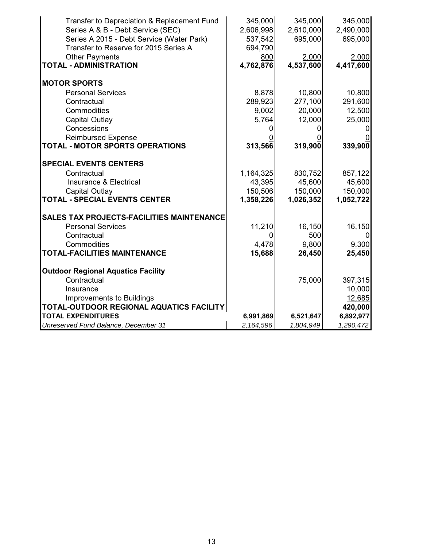| Transfer to Depreciation & Replacement Fund | 345,000   | 345,000   | 345,000   |
|---------------------------------------------|-----------|-----------|-----------|
| Series A & B - Debt Service (SEC)           | 2,606,998 | 2,610,000 | 2,490,000 |
| Series A 2015 - Debt Service (Water Park)   | 537,542   | 695,000   | 695,000   |
| Transfer to Reserve for 2015 Series A       | 694,790   |           |           |
| <b>Other Payments</b>                       | 800       | 2,000     | 2,000     |
| <b>TOTAL - ADMINISTRATION</b>               | 4,762,876 | 4,537,600 | 4,417,600 |
| <b>MOTOR SPORTS</b>                         |           |           |           |
| <b>Personal Services</b>                    | 8,878     | 10,800    | 10,800    |
| Contractual                                 | 289,923   | 277,100   | 291,600   |
| Commodities                                 | 9,002     | 20,000    | 12,500    |
| <b>Capital Outlay</b>                       | 5,764     | 12,000    | 25,000    |
| Concessions                                 |           |           |           |
| <b>Reimbursed Expense</b>                   |           |           |           |
| TOTAL - MOTOR SPORTS OPERATIONS             | 313,566   | 319,900   | 339,900   |
| <b>SPECIAL EVENTS CENTERS</b>               |           |           |           |
| Contractual                                 | 1,164,325 | 830,752   | 857,122   |
| Insurance & Electrical                      | 43,395    | 45,600    | 45,600    |
| <b>Capital Outlay</b>                       | 150,506   | 150,000   | 150,000   |
| <b>TOTAL - SPECIAL EVENTS CENTER</b>        | 1,358,226 | 1,026,352 | 1,052,722 |
| SALES TAX PROJECTS-FACILITIES MAINTENANCE   |           |           |           |
| <b>Personal Services</b>                    | 11,210    | 16,150    | 16,150    |
| Contractual                                 | 0         | 500       |           |
| Commodities                                 | 4,478     | 9,800     | 9,300     |
| TOTAL-FACILITIES MAINTENANCE                | 15,688    | 26,450    | 25,450    |
| <b>Outdoor Regional Aquatics Facility</b>   |           |           |           |
| Contractual                                 |           | 75,000    | 397,315   |
| Insurance                                   |           |           | 10,000    |
| Improvements to Buildings                   |           |           | 12,685    |
| TOTAL-OUTDOOR REGIONAL AQUATICS FACILITY    |           |           | 420,000   |
| <b>TOTAL EXPENDITURES</b>                   | 6,991,869 | 6,521,647 | 6,892,977 |
| Unreserved Fund Balance, December 31        | 2,164,596 | 1,804,949 | 1,290,472 |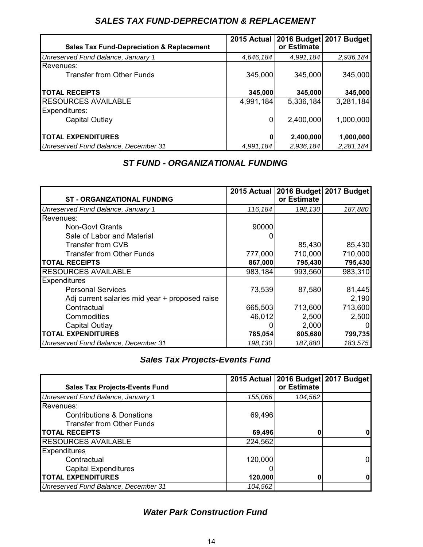# *SALES TAX FUND-DEPRECIATION & REPLACEMENT*

|                                                      |           |             | 2015 Actual   2016 Budget   2017 Budget |
|------------------------------------------------------|-----------|-------------|-----------------------------------------|
| <b>Sales Tax Fund-Depreciation &amp; Replacement</b> |           | or Estimate |                                         |
| Unreserved Fund Balance, January 1                   | 4,646,184 | 4,991,184   | 2,936,184                               |
| Revenues:                                            |           |             |                                         |
| <b>Transfer from Other Funds</b>                     | 345,000   | 345,000     | 345,000                                 |
| <b>TOTAL RECEIPTS</b>                                | 345,000   | 345,000     | 345,000                                 |
| <b>RESOURCES AVAILABLE</b>                           | 4,991,184 | 5,336,184   | 3,281,184                               |
| Expenditures:                                        |           |             |                                         |
| Capital Outlay                                       | 0         | 2,400,000   | 1,000,000                               |
| <b>TOTAL EXPENDITURES</b>                            | 0         | 2,400,000   | 1,000,000                               |
| Unreserved Fund Balance, December 31                 | 4,991,184 | 2,936,184   | 2,281,184                               |

# *ST FUND - ORGANIZATIONAL FUNDING*

|                                                |         |             | 2015 Actual 2016 Budget 2017 Budget |
|------------------------------------------------|---------|-------------|-------------------------------------|
| <b>ST - ORGANIZATIONAL FUNDING</b>             |         | or Estimate |                                     |
| Unreserved Fund Balance, January 1             | 116,184 | 198,130     | 187,880                             |
| Revenues:                                      |         |             |                                     |
| <b>Non-Govt Grants</b>                         | 90000   |             |                                     |
| Sale of Labor and Material                     |         |             |                                     |
| Transfer from CVB                              |         | 85,430      | 85,430                              |
| Transfer from Other Funds                      | 777,000 | 710,000     | 710,000                             |
| <b>TOTAL RECEIPTS</b>                          | 867,000 | 795,430     | 795,430                             |
| <b>RESOURCES AVAILABLE</b>                     | 983,184 | 993,560     | 983,310                             |
| <b>Expenditures</b>                            |         |             |                                     |
| <b>Personal Services</b>                       | 73,539  | 87,580      | 81,445                              |
| Adj current salaries mid year + proposed raise |         |             | 2,190                               |
| Contractual                                    | 665,503 | 713,600     | 713,600                             |
| Commodities                                    | 46,012  | 2,500       | 2,500                               |
| Capital Outlay                                 |         | 2,000       | 0                                   |
| <b>TOTAL EXPENDITURES</b>                      | 785,054 | 805,680     | 799,735                             |
| Unreserved Fund Balance, December 31           | 198,130 | 187,880     | 183,575                             |

*Sales Tax Projects-Events Fund*

|                                       |         | 2015 Actual   2016 Budget   2017 Budget |   |
|---------------------------------------|---------|-----------------------------------------|---|
| <b>Sales Tax Projects-Events Fund</b> |         | or Estimate                             |   |
| Unreserved Fund Balance, January 1    | 155.066 | 104,562                                 |   |
| Revenues:                             |         |                                         |   |
| <b>Contributions &amp; Donations</b>  | 69,496  |                                         |   |
| <b>Transfer from Other Funds</b>      |         |                                         |   |
| <b>TOTAL RECEIPTS</b>                 | 69,496  |                                         | 0 |
| <b>RESOURCES AVAILABLE</b>            | 224,562 |                                         |   |
| <b>Expenditures</b>                   |         |                                         |   |
| Contractual                           | 120,000 |                                         | 0 |
| <b>Capital Expenditures</b>           |         |                                         |   |
| <b>TOTAL EXPENDITURES</b>             | 120,000 |                                         | 0 |
| Unreserved Fund Balance, December 31  | 104,562 |                                         |   |

# *Water Park Construction Fund*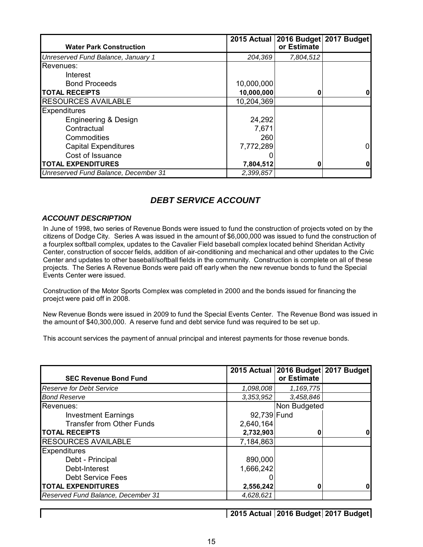|                                      |            | 2015 Actual 2016 Budget 2017 Budget |   |
|--------------------------------------|------------|-------------------------------------|---|
| <b>Water Park Construction</b>       |            | or Estimate                         |   |
| Unreserved Fund Balance, January 1   | 204,369    | 7,804,512                           |   |
| Revenues:                            |            |                                     |   |
| Interest                             |            |                                     |   |
| <b>Bond Proceeds</b>                 | 10,000,000 |                                     |   |
| <b>TOTAL RECEIPTS</b>                | 10,000,000 | 0                                   | 0 |
| <b>RESOURCES AVAILABLE</b>           | 10,204,369 |                                     |   |
| <b>Expenditures</b>                  |            |                                     |   |
| Engineering & Design                 | 24,292     |                                     |   |
| Contractual                          | 7,671      |                                     |   |
| Commodities                          | 260        |                                     |   |
| <b>Capital Expenditures</b>          | 7,772,289  |                                     | 0 |
| Cost of Issuance                     |            |                                     |   |
| <b>TOTAL EXPENDITURES</b>            | 7,804,512  | O                                   | 0 |
| Unreserved Fund Balance, December 31 | 2,399,857  |                                     |   |

# *DEBT SERVICE ACCOUNT*

#### *ACCOUNT DESCRIPTION*

In June of 1998, two series of Revenue Bonds were issued to fund the construction of projects voted on by the citizens of Dodge City. Series A was issued in the amount of \$6,000,000 was issued to fund the construction of a fourplex softball complex, updates to the Cavalier Field baseball complex located behind Sheridan Activity Center, construction of soccer fields, addition of air-conditioning and mechanical and other updates to the Civic Center and updates to other baseball/softball fields in the community. Construction is complete on all of these projects. The Series A Revenue Bonds were paid off early when the new revenue bonds to fund the Special Events Center were issued.

Construction of the Motor Sports Complex was completed in 2000 and the bonds issued for financing the proejct were paid off in 2008.

New Revenue Bonds were issued in 2009 to fund the Special Events Center. The Revenue Bond was issued in the amount of \$40,300,000. A reserve fund and debt service fund was required to be set up.

This account services the payment of annual principal and interest payments for those revenue bonds.

|                                    |             | 2015 Actual 2016 Budget 2017 Budget |  |
|------------------------------------|-------------|-------------------------------------|--|
| <b>SEC Revenue Bond Fund</b>       |             | or Estimate                         |  |
| <b>Reserve for Debt Service</b>    | 1,098,008   | 1,169,775                           |  |
| <b>Bond Reserve</b>                | 3,353,952   | 3,458,846                           |  |
| Revenues:                          |             | Non Budgeted                        |  |
| <b>Investment Earnings</b>         | 92,739 Fund |                                     |  |
| <b>Transfer from Other Funds</b>   | 2,640,164   |                                     |  |
| <b>TOTAL RECEIPTS</b>              | 2,732,903   | 0                                   |  |
| <b>RESOURCES AVAILABLE</b>         | 7,184,863   |                                     |  |
| <b>Expenditures</b>                |             |                                     |  |
| Debt - Principal                   | 890,000     |                                     |  |
| Debt-Interest                      | 1,666,242   |                                     |  |
| <b>Debt Service Fees</b>           |             |                                     |  |
| <b>TOTAL EXPENDITURES</b>          | 2,556,242   |                                     |  |
| Reserved Fund Balance, December 31 | 4,628,621   |                                     |  |

**2015 Actual 2016 Budget 2017 Budget**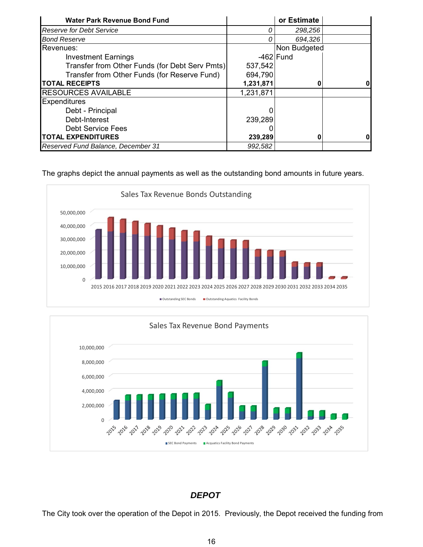| <b>Water Park Revenue Bond Fund</b>            |           | or Estimate  |    |
|------------------------------------------------|-----------|--------------|----|
| <b>Reserve for Debt Service</b>                | 0         | 298,256      |    |
| <b>Bond Reserve</b>                            | 0         | 694,326      |    |
| Revenues:                                      |           | Non Budgeted |    |
| <b>Investment Earnings</b>                     |           | $-462$ Fund  |    |
| Transfer from Other Funds (for Debt Serv Pmts) | 537,542   |              |    |
| Transfer from Other Funds (for Reserve Fund)   | 694,790   |              |    |
| <b>TOTAL RECEIPTS</b>                          | 1,231,871 | 0            | 01 |
| <b>RESOURCES AVAILABLE</b>                     | 1,231,871 |              |    |
| <b>Expenditures</b>                            |           |              |    |
| Debt - Principal                               | 0         |              |    |
| Debt-Interest                                  | 239,289   |              |    |
| <b>Debt Service Fees</b>                       |           |              |    |
| <b>TOTAL EXPENDITURES</b>                      | 239,289   | 0            | 01 |
| Reserved Fund Balance, December 31             | 992,582   |              |    |

The graphs depict the annual payments as well as the outstanding bond amounts in future years.





# *DEPOT*

The City took over the operation of the Depot in 2015. Previously, the Depot received the funding from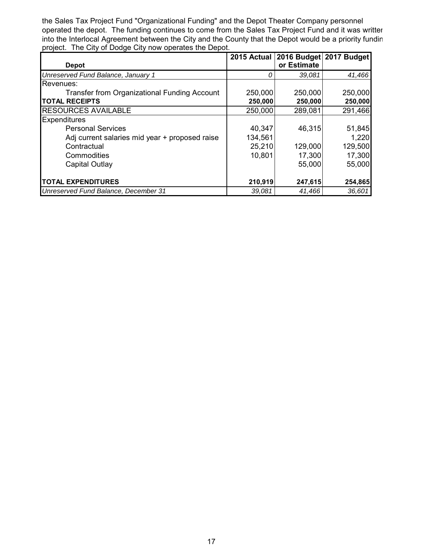the Sales Tax Project Fund "Organizational Funding" and the Depot Theater Company personnel operated the depot. The funding continues to come from the Sales Tax Project Fund and it was written into the Interlocal Agreement between the City and the County that the Depot would be a priority fundin project. The City of Dodge City now operates the Depot.

|                                                     |         | 2015 Actual 2016 Budget 2017 Budget |         |
|-----------------------------------------------------|---------|-------------------------------------|---------|
| <b>Depot</b>                                        |         | or Estimate                         |         |
| Unreserved Fund Balance, January 1                  |         | 39,081                              | 41,466  |
| Revenues:                                           |         |                                     |         |
| <b>Transfer from Organizational Funding Account</b> | 250,000 | 250,000                             | 250,000 |
| <b>TOTAL RECEIPTS</b>                               | 250,000 | 250,000                             | 250,000 |
| <b>RESOURCES AVAILABLE</b>                          | 250,000 | 289,081                             | 291,466 |
| <b>Expenditures</b>                                 |         |                                     |         |
| <b>Personal Services</b>                            | 40,347  | 46,315                              | 51,845  |
| Adj current salaries mid year + proposed raise      | 134,561 |                                     | 1,220   |
| Contractual                                         | 25,210  | 129,000                             | 129,500 |
| Commodities                                         | 10,801  | 17,300                              | 17,300  |
| Capital Outlay                                      |         | 55,000                              | 55,000  |
|                                                     |         |                                     |         |
| <b>TOTAL EXPENDITURES</b>                           | 210,919 | 247,615                             | 254,865 |
| Unreserved Fund Balance, December 31                | 39,081  | 41,466                              | 36,601  |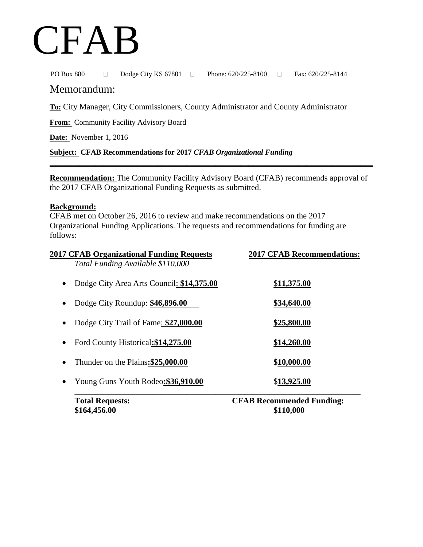# CFAB

PO Box 880 Dodge City KS 67801 D Phone: 620/225-8100 Bax: 620/225-8144

# Memorandum:

**To:** City Manager, City Commissioners, County Administrator and County Administrator

**From:** Community Facility Advisory Board

**Date:** November 1, 2016

#### **Subject: CFAB Recommendations for 2017** *CFAB Organizational Funding*

**Recommendation:** The Community Facility Advisory Board (CFAB) recommends approval of the 2017 CFAB Organizational Funding Requests as submitted.

**\_\_\_\_\_\_\_\_\_\_\_\_\_\_\_\_\_\_\_\_\_\_\_\_\_\_\_\_\_\_\_\_\_\_\_\_\_\_\_\_\_\_\_\_\_\_\_\_\_\_\_\_\_\_\_\_\_\_\_\_\_\_\_\_\_\_\_\_\_\_\_\_\_\_\_\_\_\_**

#### **Background:**

CFAB met on October 26, 2016 to review and make recommendations on the 2017 Organizational Funding Applications. The requests and recommendations for funding are follows:

| 2017 CFAB Organizational Funding Requests | <b>2017 CFAB Recommendations:</b> |
|-------------------------------------------|-----------------------------------|
| Total Funding Available \$110,000         |                                   |
| Dodge City Area Arts Council: \$14,375.00 | \$11,375.00                       |
| Dodge City Roundup: \$46,896.00           | \$34,640.00                       |
| Dodge City Trail of Fame: \$27,000.00     | \$25,800.00                       |
| Ford County Historical: \$14,275.00       | \$14,260.00                       |
| Thunder on the Plains: \$25,000.00        | \$10,000.00                       |
| Young Guns Youth Rodeo: \$36,910.00       | \$13,925.00                       |
| $\textbf{T}_{\alpha}$ tal Daquartas       | $CFAD$ Decommended Eurdings       |

**Total Requests: CFAB Recommended Funding: \$164,456.00 \$110,000**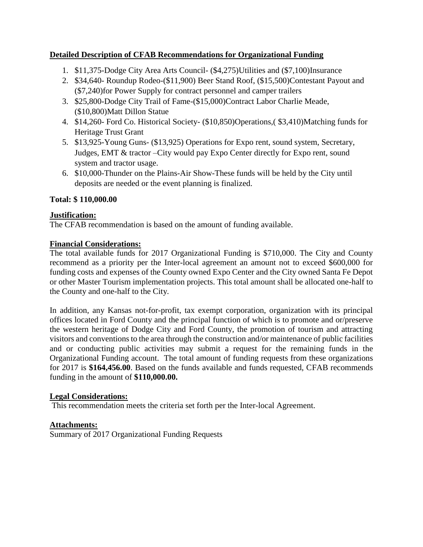# **Detailed Description of CFAB Recommendations for Organizational Funding**

- 1. \$11,375-Dodge City Area Arts Council- (\$4,275)Utilities and (\$7,100)Insurance
- 2. \$34,640- Roundup Rodeo-(\$11,900) Beer Stand Roof, (\$15,500)Contestant Payout and (\$7,240)for Power Supply for contract personnel and camper trailers
- 3. \$25,800-Dodge City Trail of Fame-(\$15,000)Contract Labor Charlie Meade, (\$10,800)Matt Dillon Statue
- 4. \$14,260- Ford Co. Historical Society- (\$10,850)Operations,( \$3,410)Matching funds for Heritage Trust Grant
- 5. \$13,925-Young Guns- (\$13,925) Operations for Expo rent, sound system, Secretary, Judges, EMT & tractor –City would pay Expo Center directly for Expo rent, sound system and tractor usage.
- 6. \$10,000-Thunder on the Plains-Air Show-These funds will be held by the City until deposits are needed or the event planning is finalized.

# **Total: \$ 110,000.00**

# **Justification:**

The CFAB recommendation is based on the amount of funding available.

# **Financial Considerations:**

The total available funds for 2017 Organizational Funding is \$710,000. The City and County recommend as a priority per the Inter-local agreement an amount not to exceed \$600,000 for funding costs and expenses of the County owned Expo Center and the City owned Santa Fe Depot or other Master Tourism implementation projects. This total amount shall be allocated one-half to the County and one-half to the City.

In addition, any Kansas not-for-profit, tax exempt corporation, organization with its principal offices located in Ford County and the principal function of which is to promote and or/preserve the western heritage of Dodge City and Ford County, the promotion of tourism and attracting visitors and conventions to the area through the construction and/or maintenance of public facilities and or conducting public activities may submit a request for the remaining funds in the Organizational Funding account. The total amount of funding requests from these organizations for 2017 is **\$164,456.00**. Based on the funds available and funds requested, CFAB recommends funding in the amount of **\$110,000.00.** 

# **Legal Considerations:**

This recommendation meets the criteria set forth per the Inter-local Agreement.

# **Attachments:**

Summary of 2017 Organizational Funding Requests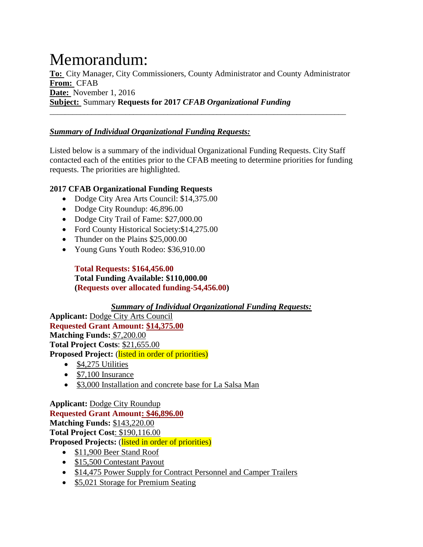# Memorandum:

**To:** City Manager, City Commissioners, County Administrator and County Administrator **From:** CFAB **Date:** November 1, 2016 **Subject:** Summary **Requests for 2017** *CFAB Organizational Funding* 

\_\_\_\_\_\_\_\_\_\_\_\_\_\_\_\_\_\_\_\_\_\_\_\_\_\_\_\_\_\_\_\_\_\_\_\_\_\_\_\_\_\_\_\_\_\_\_\_\_\_\_\_\_\_\_\_\_\_\_\_\_\_\_\_\_\_\_\_\_\_\_\_\_\_\_\_\_\_

# *Summary of Individual Organizational Funding Requests:*

Listed below is a summary of the individual Organizational Funding Requests. City Staff contacted each of the entities prior to the CFAB meeting to determine priorities for funding requests. The priorities are highlighted.

# **2017 CFAB Organizational Funding Requests**

- Dodge City Area Arts Council: \$14,375.00
- Dodge City Roundup: 46,896.00
- Dodge City Trail of Fame: \$27,000.00
- Ford County Historical Society: \$14,275.00
- Thunder on the Plains \$25,000.00
- Young Guns Youth Rodeo: \$36,910.00

**Total Requests: \$164,456.00 Total Funding Available: \$110,000.00 (Requests over allocated funding-54,456.00)**

*Summary of Individual Organizational Funding Requests:*

**Applicant:** Dodge City Arts Council **Requested Grant Amount: \$14,375.00 Matching Funds:** \$7,200.00 **Total Project Costs**: \$21,655.00 Proposed Project: (listed in order of priorities)

- $\bullet$  \$4,275 Utilities
- $\bullet$  \$7,100 Insurance
- \$3,000 Installation and concrete base for La Salsa Man

**Applicant:** Dodge City Roundup **Requested Grant Amount: \$46,896.00 Matching Funds:** \$143,220.00 **Total Project Cost**: \$190,116.00 **Proposed Projects:** (listed in order of priorities)

- \$11,900 Beer Stand Roof
- \$15,500 Contestant Payout
- \$14,475 Power Supply for Contract Personnel and Camper Trailers
- \$5,021 Storage for Premium Seating